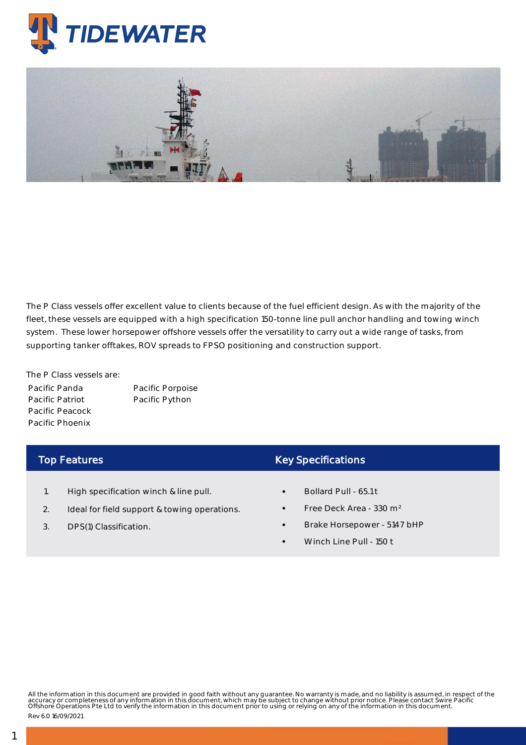

The P Class vessels offer excellent value to clients because of the fuel efficient design. As with the majority of the fleet, these vessels are equipped with a high specification 150-tonne line pull anchor handling and towing winch system. These lower horsepower offshore vessels offer the versatility to carry out a wide range of tasks, from supporting tanker offtakes, ROV spreads to FPSO positioning and construction support.

The P Class vessels are: Pacific Panda Pacific Patriot Pacific Peacock Pacific Phoenix

Pacific Porpoise Pacific Python

## Top Features

- 1. High specification winch & line pull.
- 2. Ideal for field support & towing operations.
- 3. DPS(1) Classification.

## Key Specifications

- Bollard Pull 65.1 t
- Free Deck Area 330 m²
- Brake Horsepower 5147 bHP
- Winch Line Pull 150 t

All the information in this document are provided in good faith without any guarantee. No warranty is made, and no liability is assumed, in respect of the<br>accuracy or completeness of any information in this document, which

Rev 6.0 16/09/2021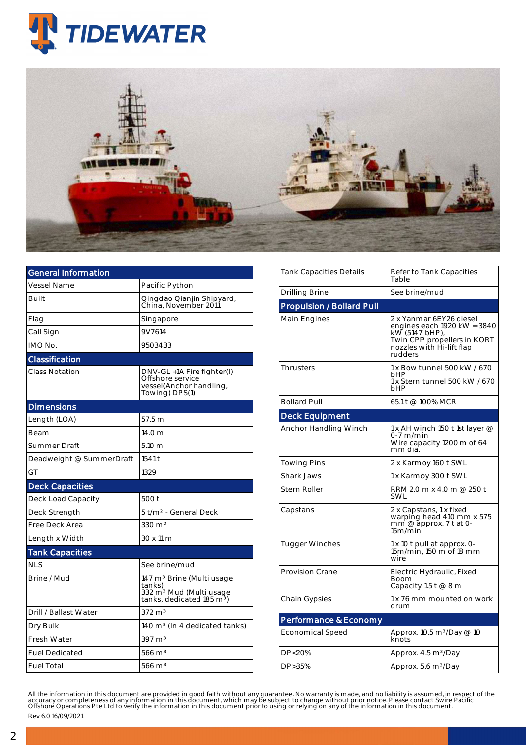



| General Information      |                                                                                                                                 |  |  |  |  |
|--------------------------|---------------------------------------------------------------------------------------------------------------------------------|--|--|--|--|
| <b>Vessel Name</b>       | Pacific Python                                                                                                                  |  |  |  |  |
| Built                    | Qingdao Qianjin Shipyard,<br>China. November 2011                                                                               |  |  |  |  |
| Flag                     | Singapore                                                                                                                       |  |  |  |  |
| Call Sign                | 9V7614                                                                                                                          |  |  |  |  |
| IMO No.                  | 9503433                                                                                                                         |  |  |  |  |
| Classification           |                                                                                                                                 |  |  |  |  |
| <b>Class Notation</b>    | DNV-GL +1A Fire fighter(I)<br>Offshore service<br>vessel(Anchor handling,<br>Towing) DPS(1)                                     |  |  |  |  |
| <b>Dimensions</b>        |                                                                                                                                 |  |  |  |  |
| Length (LOA)             | 57.5 m                                                                                                                          |  |  |  |  |
| Beam                     | 14.0 <sub>m</sub>                                                                                                               |  |  |  |  |
| Summer Draft             | 5.10 m                                                                                                                          |  |  |  |  |
| Deadweight @ SummerDraft | 1541 t                                                                                                                          |  |  |  |  |
| GT                       | 1329                                                                                                                            |  |  |  |  |
| <b>Deck Capacities</b>   |                                                                                                                                 |  |  |  |  |
| Deck Load Capacity       | 500 t                                                                                                                           |  |  |  |  |
| Deck Strength            | 5 t/m <sup>2</sup> - General Deck                                                                                               |  |  |  |  |
| Free Deck Area           | $330 \; \text{m}^2$                                                                                                             |  |  |  |  |
| Length x Width           | 30 x 11 m                                                                                                                       |  |  |  |  |
| <b>Tank Capacities</b>   |                                                                                                                                 |  |  |  |  |
| <b>NLS</b>               | See brine/mud                                                                                                                   |  |  |  |  |
| Brine / Mud              | 147 m <sup>3</sup> Brine (Multi usage<br>tanks)<br>332 m <sup>3</sup> Mud (Multi usage<br>tanks, dedicated 185 m <sup>3</sup> ) |  |  |  |  |
| Drill / Ballast Water    | $372 \text{ m}^3$                                                                                                               |  |  |  |  |
| Dry Bulk                 | 140 m <sup>3</sup> (In 4 dedicated tanks)                                                                                       |  |  |  |  |
| <b>Fresh Water</b>       | $397 \text{ m}^3$                                                                                                               |  |  |  |  |
| <b>Fuel Dedicated</b>    | $566 \text{ m}^3$                                                                                                               |  |  |  |  |
| <b>Fuel Total</b>        | $566 \text{ m}^3$                                                                                                               |  |  |  |  |

| Tank Capacities Details          | Refer to Tank Capacities<br>Table                                                                                                               |  |  |  |
|----------------------------------|-------------------------------------------------------------------------------------------------------------------------------------------------|--|--|--|
| Drilling Brine                   | See brine/mud                                                                                                                                   |  |  |  |
| <b>Propulsion / Bollard Pull</b> |                                                                                                                                                 |  |  |  |
| Main Engines                     | 2 x Yanmar 6EY26 diesel<br>engines each 1920 kW = 3840<br>kW (5147 bHP),<br>Twin CPP propellers in KORT<br>nozzles with Hi-lift flap<br>rudders |  |  |  |
| <b>Thrusters</b>                 | 1 x Bow tunnel 500 kW / 670<br>bHP<br>1 x Stern tunnel 500 kW / 670<br>bHP                                                                      |  |  |  |
| <b>Bollard Pull</b>              | 65.1 t @ 100% MCR                                                                                                                               |  |  |  |
| <b>Deck Equipment</b>            |                                                                                                                                                 |  |  |  |
| Anchor Handling Winch            | 1 x AH winch 150 t 1st layer $@$<br>0-7 m/min<br>Wire capacity 1200 m of 64<br>mm dia.                                                          |  |  |  |
| <b>Towing Pins</b>               | 2 x Karmoy 160 t SWL                                                                                                                            |  |  |  |
| <b>Shark Jaws</b>                | 1 x Karmoy 300 t SWL                                                                                                                            |  |  |  |
| <b>Stern Roller</b>              | RRM 2.0 m x 4.0 m @ 250 t<br>SWL                                                                                                                |  |  |  |
| Capstans                         | 2 x Capstans, 1 x fixed<br>warping head 410 mm x 575<br>mm @ approx. 7 t at 0-<br>15m/min                                                       |  |  |  |
| <b>Tugger Winches</b>            | 1 x 10 t pull at approx. 0-<br>15m/min, 150 m of 18 mm<br>wire                                                                                  |  |  |  |
| Provision Crane                  | Electric Hydraulic, Fixed<br>Boom<br>Capacity 1.5 t @ 8 m                                                                                       |  |  |  |
| Chain Gypsies                    | 1 x 76 mm mounted on work<br>drum                                                                                                               |  |  |  |
| Performance & Economy            |                                                                                                                                                 |  |  |  |
| <b>Economical Speed</b>          | Approx. 10.5 m <sup>3</sup> /Day @ 10<br>knots                                                                                                  |  |  |  |
| DP<20%                           | Approx. 4.5 m <sup>3</sup> /Day                                                                                                                 |  |  |  |
| DP>35%                           | Approx. 5.6 m <sup>3</sup> /Day                                                                                                                 |  |  |  |
|                                  |                                                                                                                                                 |  |  |  |

All the information in this document are provided in good faith without any guarantee. No warranty is made, and no liability is assumed, in respect of the<br>accuracy or completeness of any information in this document, which Rev 6.0 16/09/2021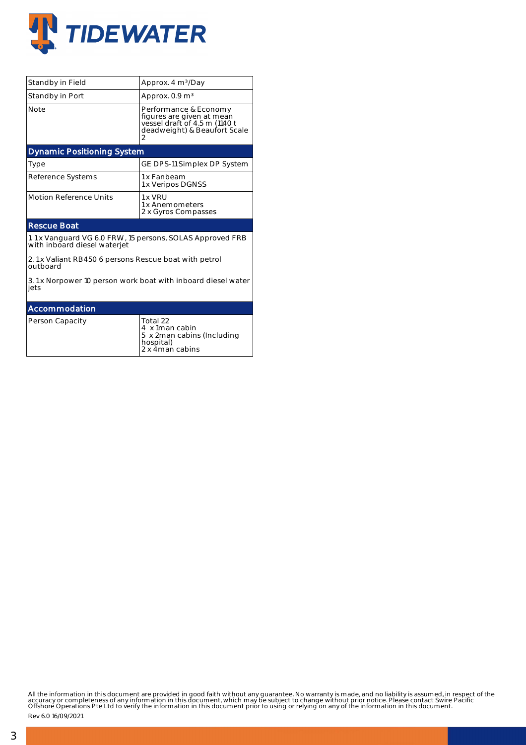

| Standby in Field                                                                          | Approx. 4 m <sup>3</sup> /Day                                                                                            |  |  |  |  |  |
|-------------------------------------------------------------------------------------------|--------------------------------------------------------------------------------------------------------------------------|--|--|--|--|--|
| Standby in Port                                                                           | Approx. $0.9 \text{ m}^3$                                                                                                |  |  |  |  |  |
| <b>Note</b>                                                                               | Performance & Economy<br>figures are given at mean<br>vessel draft of 4.5 m (1140 t<br>deadweight) & Beaufort Scale<br>2 |  |  |  |  |  |
| <b>Dynamic Positioning System</b>                                                         |                                                                                                                          |  |  |  |  |  |
| <b>Type</b>                                                                               | GE DPS-11 Simplex DP System                                                                                              |  |  |  |  |  |
| Reference Systems                                                                         | 1 x Fanbeam<br>1 x Veripos DGNSS                                                                                         |  |  |  |  |  |
| <b>Motion Reference Units</b>                                                             | 1 x VRU<br>1 x Anemometers<br>2 x Gyros Compasses                                                                        |  |  |  |  |  |
| <b>Rescue Boat</b>                                                                        |                                                                                                                          |  |  |  |  |  |
| 1.1 x Vanguard VG 6.0 FRW, 15 persons, SOLAS Approved FRB<br>with inboard diesel waterjet |                                                                                                                          |  |  |  |  |  |
| 2.1 x Valiant RB450 6 persons Rescue boat with petrol<br>outboard                         |                                                                                                                          |  |  |  |  |  |
| 3.1 x Norpower 10 person work boat with inboard diesel water<br>jets                      |                                                                                                                          |  |  |  |  |  |
| Accommodation                                                                             |                                                                                                                          |  |  |  |  |  |
| Person Capacity                                                                           | Total 22<br>4 x 1man cabin<br>5 x 2man cabins (Including<br>$- -11 - 11$                                                 |  |  |  |  |  |

hospital) 2 x 4 man cabins

All the information in this document are provided in good faith without any guarantee. No warranty is made, and no liability is assumed, in respect of the<br>accuracy or completeness of any information in this document, which

Rev 6.0 16/09/2021